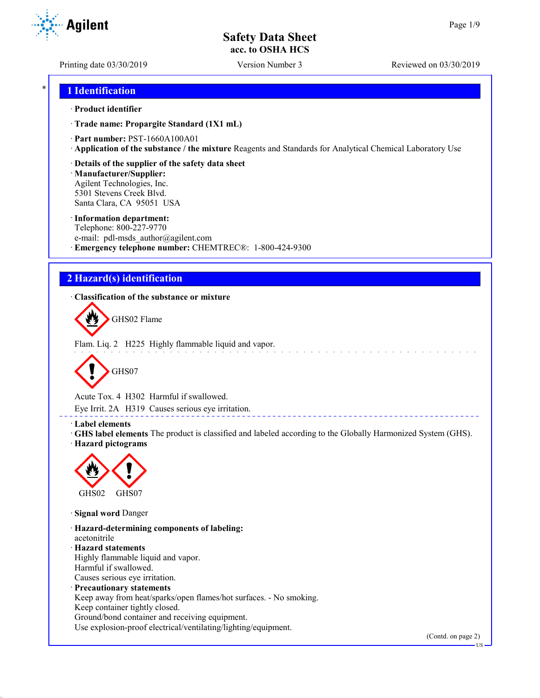Printing date 03/30/2019 Version Number 3 Reviewed on 03/30/2019

**Agilent** 

# \* **1 Identification**

#### · **Product identifier**

· **Trade name: Propargite Standard (1X1 mL)**

· **Part number:** PST-1660A100A01

· **Application of the substance / the mixture** Reagents and Standards for Analytical Chemical Laboratory Use

· **Details of the supplier of the safety data sheet**

· **Manufacturer/Supplier:** Agilent Technologies, Inc. 5301 Stevens Creek Blvd. Santa Clara, CA 95051 USA

#### · **Information department:**

Telephone: 800-227-9770 e-mail: pdl-msds author@agilent.com · **Emergency telephone number:** CHEMTREC®: 1-800-424-9300

# **2 Hazard(s) identification**

· **Classification of the substance or mixture**



Flam. Liq. 2 H225 Highly flammable liquid and vapor.



Acute Tox. 4 H302 Harmful if swallowed.

Eye Irrit. 2A H319 Causes serious eye irritation.

#### · **Label elements**

· **GHS label elements** The product is classified and labeled according to the Globally Harmonized System (GHS). · **Hazard pictograms**

\_\_\_\_\_\_\_\_\_\_\_\_\_\_\_\_\_\_\_\_\_\_



· **Signal word** Danger

· **Hazard-determining components of labeling:** acetonitrile · **Hazard statements** Highly flammable liquid and vapor. Harmful if swallowed. Causes serious eye irritation. · **Precautionary statements** Keep away from heat/sparks/open flames/hot surfaces. - No smoking. Keep container tightly closed. Ground/bond container and receiving equipment.

Use explosion-proof electrical/ventilating/lighting/equipment.

(Contd. on page 2)

US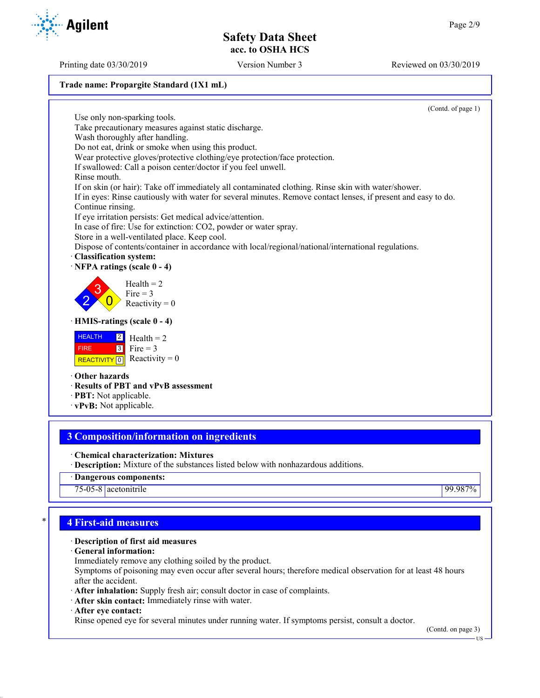(Contd. of page 1)

#### **Trade name: Propargite Standard (1X1 mL)**

Use only non-sparking tools. Take precautionary measures against static discharge. Wash thoroughly after handling. Do not eat, drink or smoke when using this product.  $Health = 2$ Fire  $= 3$ 

· **HMIS-ratings (scale 0 - 4)**

|             | $HEALTH$ $2$ Health = 2                                                 |
|-------------|-------------------------------------------------------------------------|
| <b>FIRE</b> | $\begin{array}{ c c } \hline 3 & \text{Fire} = 3 \\ \hline \end{array}$ |
|             | REACTIVITY 0 Reactivity = 0                                             |

· **Other hazards**

2 3  $\overline{0}$ 

- · **Results of PBT and vPvB assessment**
- · **PBT:** Not applicable.
- · **vPvB:** Not applicable.

# **3 Composition/information on ingredients**

· **Chemical characterization: Mixtures**

· **Description:** Mixture of the substances listed below with nonhazardous additions.

· **Dangerous components:**

75-05-8 acetonitrile 99.987%

# \* **4 First-aid measures**

# · **Description of first aid measures**

· **General information:**

Immediately remove any clothing soiled by the product.

Symptoms of poisoning may even occur after several hours; therefore medical observation for at least 48 hours after the accident.

· **After inhalation:** Supply fresh air; consult doctor in case of complaints.

· **After skin contact:** Immediately rinse with water.

· **After eye contact:**

Rinse opened eye for several minutes under running water. If symptoms persist, consult a doctor.

(Contd. on page 3)

US

**Agilent** 

Printing date 03/30/2019 Version Number 3 Reviewed on 03/30/2019



Wear protective gloves/protective clothing/eye protection/face protection.

If swallowed: Call a poison center/doctor if you feel unwell. Rinse mouth.

If on skin (or hair): Take off immediately all contaminated clothing. Rinse skin with water/shower.

If in eyes: Rinse cautiously with water for several minutes. Remove contact lenses, if present and easy to do. Continue rinsing.

If eye irritation persists: Get medical advice/attention.

In case of fire: Use for extinction: CO2, powder or water spray.

Store in a well-ventilated place. Keep cool.

Reactivity  $= 0$ 

Dispose of contents/container in accordance with local/regional/national/international regulations.

## · **Classification system:**

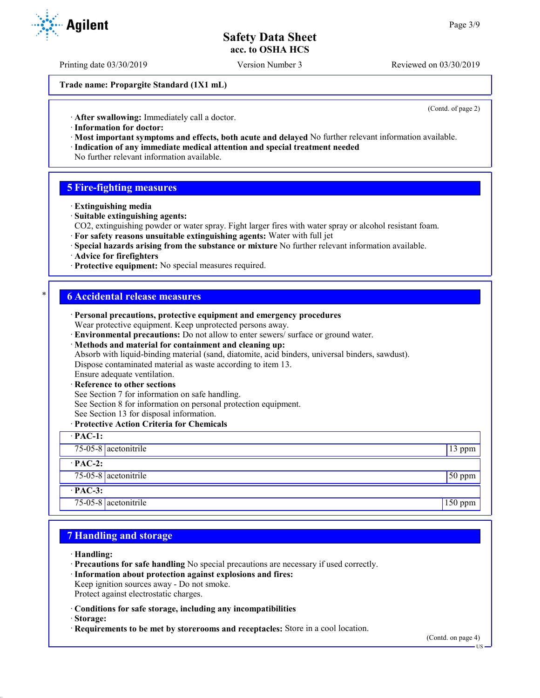Printing date 03/30/2019 Version Number 3 Reviewed on 03/30/2019

**Trade name: Propargite Standard (1X1 mL)**

(Contd. of page 2)

· **After swallowing:** Immediately call a doctor.

- · **Information for doctor:**
- · **Most important symptoms and effects, both acute and delayed** No further relevant information available. · **Indication of any immediate medical attention and special treatment needed**
- No further relevant information available.

## **5 Fire-fighting measures**

- · **Extinguishing media**
- · **Suitable extinguishing agents:**
- CO2, extinguishing powder or water spray. Fight larger fires with water spray or alcohol resistant foam.
- · **For safety reasons unsuitable extinguishing agents:** Water with full jet
- · **Special hazards arising from the substance or mixture** No further relevant information available.
- · **Advice for firefighters**
- · **Protective equipment:** No special measures required.

### \* **6 Accidental release measures**

| · Personal precautions, protective equipment and emergency procedures                            |           |
|--------------------------------------------------------------------------------------------------|-----------|
| Wear protective equipment. Keep unprotected persons away.                                        |           |
| · Environmental precautions: Do not allow to enter sewers/ surface or ground water.              |           |
| · Methods and material for containment and cleaning up:                                          |           |
| Absorb with liquid-binding material (sand, diatomite, acid binders, universal binders, sawdust). |           |
| Dispose contaminated material as waste according to item 13.                                     |           |
| Ensure adequate ventilation.                                                                     |           |
| · Reference to other sections                                                                    |           |
| See Section 7 for information on safe handling.                                                  |           |
| See Section 8 for information on personal protection equipment.                                  |           |
| See Section 13 for disposal information.                                                         |           |
| · Protective Action Criteria for Chemicals                                                       |           |
| $\cdot$ PAC-1:                                                                                   |           |
| 75-05-8 $ $ acetonitrile                                                                         | 13 ppm    |
| $\cdot$ PAC-2:                                                                                   |           |
| 75-05-8 acetonitrile                                                                             | $50$ ppm  |
| $·$ PAC-3:                                                                                       |           |
| 75-05-8 $ $ acetonitrile                                                                         | $150$ ppm |

## **7 Handling and storage**

- · **Handling:**
- · **Precautions for safe handling** No special precautions are necessary if used correctly.
- · **Information about protection against explosions and fires:**
- Keep ignition sources away Do not smoke.
- Protect against electrostatic charges.
- · **Conditions for safe storage, including any incompatibilities**
- · **Storage:**
- · **Requirements to be met by storerooms and receptacles:** Store in a cool location.



US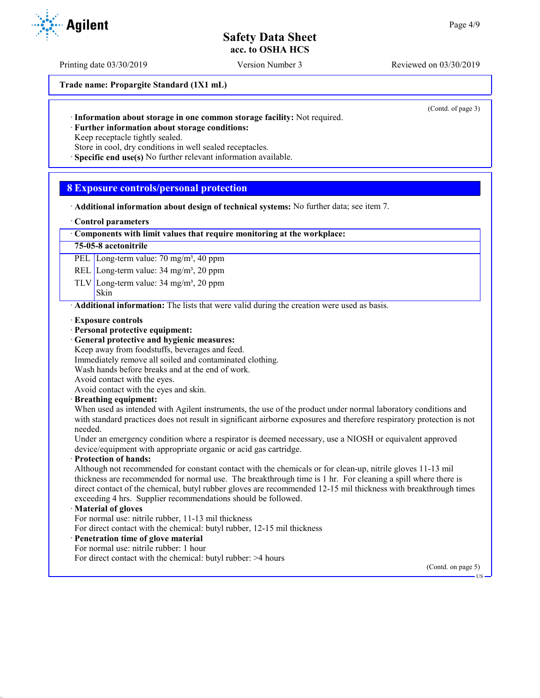Printing date 03/30/2019 Version Number 3 Reviewed on 03/30/2019

**Trade name: Propargite Standard (1X1 mL)**

(Contd. of page 3)

· **Information about storage in one common storage facility:** Not required.

· **Further information about storage conditions:** Keep receptacle tightly sealed.

Store in cool, dry conditions in well sealed receptacles.

· **Specific end use(s)** No further relevant information available.

## **8 Exposure controls/personal protection**

· **Additional information about design of technical systems:** No further data; see item 7.

#### · **Control parameters**

#### · **Components with limit values that require monitoring at the workplace:**

#### **75-05-8 acetonitrile**

PEL Long-term value: 70 mg/m<sup>3</sup>, 40 ppm

REL Long-term value: 34 mg/m<sup>3</sup>, 20 ppm

TLV Long-term value:  $34 \text{ mg/m}^3$ ,  $20 \text{ ppm}$ 

#### Skin

· **Additional information:** The lists that were valid during the creation were used as basis.

- · **Exposure controls**
- · **Personal protective equipment:**
- · **General protective and hygienic measures:**
- Keep away from foodstuffs, beverages and feed.

Immediately remove all soiled and contaminated clothing.

Wash hands before breaks and at the end of work.

Avoid contact with the eyes.

Avoid contact with the eyes and skin.

#### · **Breathing equipment:**

When used as intended with Agilent instruments, the use of the product under normal laboratory conditions and with standard practices does not result in significant airborne exposures and therefore respiratory protection is not needed.

Under an emergency condition where a respirator is deemed necessary, use a NIOSH or equivalent approved device/equipment with appropriate organic or acid gas cartridge.

#### · **Protection of hands:**

Although not recommended for constant contact with the chemicals or for clean-up, nitrile gloves 11-13 mil thickness are recommended for normal use. The breakthrough time is 1 hr. For cleaning a spill where there is direct contact of the chemical, butyl rubber gloves are recommended 12-15 mil thickness with breakthrough times exceeding 4 hrs. Supplier recommendations should be followed.

#### · **Material of gloves**

For normal use: nitrile rubber, 11-13 mil thickness

For direct contact with the chemical: butyl rubber, 12-15 mil thickness

### · **Penetration time of glove material**

For normal use: nitrile rubber: 1 hour

For direct contact with the chemical: butyl rubber: >4 hours

(Contd. on page 5)

US

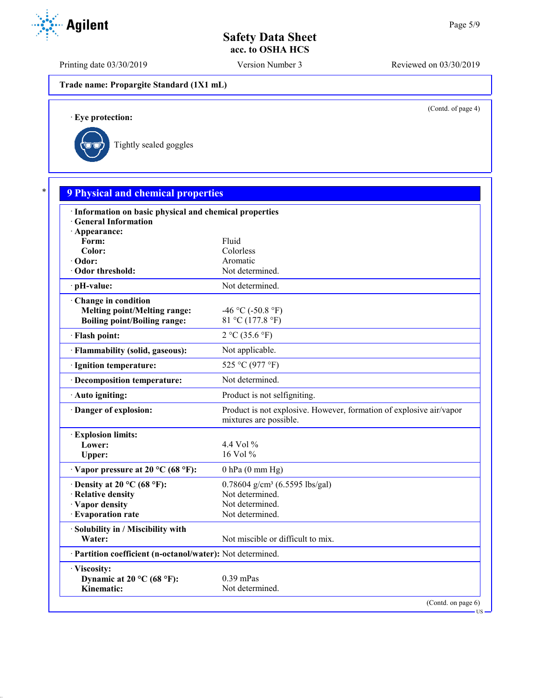Printing date 03/30/2019 Version Number 3 Reviewed on 03/30/2019

**Trade name: Propargite Standard (1X1 mL)**

(Contd. of page 4)

US

· **Eye protection:**



| · Information on basic physical and chemical properties    |                                                                                               |
|------------------------------------------------------------|-----------------------------------------------------------------------------------------------|
| · General Information                                      |                                                                                               |
| · Appearance:                                              |                                                                                               |
| Form:<br>Color:                                            | Fluid<br>Colorless                                                                            |
| · Odor:                                                    | Aromatic                                                                                      |
| Odor threshold:                                            | Not determined.                                                                               |
| · pH-value:                                                | Not determined.                                                                               |
| Change in condition                                        |                                                                                               |
| <b>Melting point/Melting range:</b>                        | -46 °C (-50.8 °F)                                                                             |
| <b>Boiling point/Boiling range:</b>                        | 81 °C (177.8 °F)                                                                              |
| · Flash point:                                             | 2 °C (35.6 °F)                                                                                |
| · Flammability (solid, gaseous):                           | Not applicable.                                                                               |
| · Ignition temperature:                                    | 525 °C (977 °F)                                                                               |
| · Decomposition temperature:                               | Not determined.                                                                               |
| · Auto igniting:                                           | Product is not selfigniting.                                                                  |
| Danger of explosion:                                       | Product is not explosive. However, formation of explosive air/vapor<br>mixtures are possible. |
| <b>Explosion limits:</b>                                   |                                                                                               |
| Lower:                                                     | 4.4 Vol $\%$                                                                                  |
| Upper:                                                     | 16 Vol %                                                                                      |
| $\cdot$ Vapor pressure at 20 °C (68 °F):                   | $0$ hPa $(0$ mm Hg)                                                                           |
| $\cdot$ Density at 20 °C (68 °F):                          | $0.78604$ g/cm <sup>3</sup> (6.5595 lbs/gal)                                                  |
| · Relative density                                         | Not determined.                                                                               |
| · Vapor density                                            | Not determined.                                                                               |
| · Evaporation rate                                         | Not determined.                                                                               |
| · Solubility in / Miscibility with                         |                                                                                               |
| Water:                                                     | Not miscible or difficult to mix.                                                             |
| · Partition coefficient (n-octanol/water): Not determined. |                                                                                               |
| · Viscosity:                                               |                                                                                               |
| Dynamic at 20 °C (68 °F):                                  | $0.39$ mPas                                                                                   |

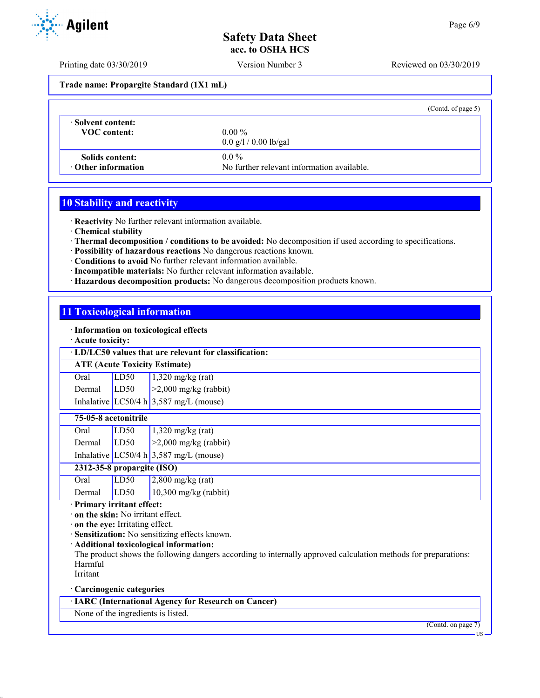Printing date 03/30/2019 Version Number 3 Reviewed on 03/30/2019

**Trade name: Propargite Standard (1X1 mL)**

|                                      |                                                       | (Contd. of page 5) |
|--------------------------------------|-------------------------------------------------------|--------------------|
| Solvent content:<br>VOC content:     | $0.00\%$<br>$0.0 \frac{g}{1} / 0.00 \frac{g}{g}$      |                    |
| Solids content:<br>Other information | $0.0\%$<br>No further relevant information available. |                    |

## **10 Stability and reactivity**

· **Reactivity** No further relevant information available.

· **Chemical stability**

· **Thermal decomposition / conditions to be avoided:** No decomposition if used according to specifications.

- · **Possibility of hazardous reactions** No dangerous reactions known.
- · **Conditions to avoid** No further relevant information available.
- · **Incompatible materials:** No further relevant information available.
- · **Hazardous decomposition products:** No dangerous decomposition products known.

## **11 Toxicological information**

· **Information on toxicological effects**

· **Acute toxicity:**

#### · **LD/LC50 values that are relevant for classification:**

**ATE (Acute Toxicity Estimate)**

| Oral   | LD50 | $1,320$ mg/kg (rat)                      |
|--------|------|------------------------------------------|
| Dermal | LD50 | $\geq$ 2,000 mg/kg (rabbit)              |
|        |      | Inhalative LC50/4 h $3,587$ mg/L (mouse) |

# **75-05-8 acetonitrile**

| Oral   | LD50 | $1,320$ mg/kg (rat)                      |
|--------|------|------------------------------------------|
| Dermal | LD50 | $\vert$ >2,000 mg/kg (rabbit)            |
|        |      | Inhalative LC50/4 h $3,587$ mg/L (mouse) |

**2312-35-8 propargite (ISO)**

| Oral        | LD50 | $2,800$ mg/kg (rat)     |
|-------------|------|-------------------------|
| Dermal LD50 |      | $10,300$ mg/kg (rabbit) |

· **Primary irritant effect:**

· **on the skin:** No irritant effect.

· **on the eye:** Irritating effect.

· **Sensitization:** No sensitizing effects known.

· **Additional toxicological information:**

The product shows the following dangers according to internally approved calculation methods for preparations: Harmful

Irritant

· **Carcinogenic categories**

· **IARC (International Agency for Research on Cancer)**

None of the ingredients is listed.

(Contd. on page 7)



US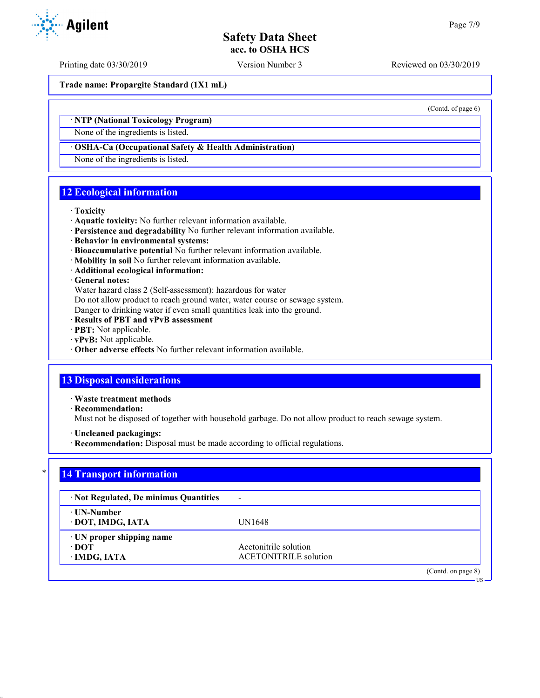Printing date 03/30/2019 Version Number 3 Reviewed on 03/30/2019

**Trade name: Propargite Standard (1X1 mL)**

(Contd. of page 6)

US

## · **NTP (National Toxicology Program)**

None of the ingredients is listed.

#### · **OSHA-Ca (Occupational Safety & Health Administration)**

None of the ingredients is listed.

# **12 Ecological information**

#### · **Toxicity**

- · **Aquatic toxicity:** No further relevant information available.
- · **Persistence and degradability** No further relevant information available.
- · **Behavior in environmental systems:**
- · **Bioaccumulative potential** No further relevant information available.
- · **Mobility in soil** No further relevant information available.
- · **Additional ecological information:**

#### · **General notes:**

Water hazard class 2 (Self-assessment): hazardous for water

Do not allow product to reach ground water, water course or sewage system.

Danger to drinking water if even small quantities leak into the ground.

- · **Results of PBT and vPvB assessment**
- · **PBT:** Not applicable.
- · **vPvB:** Not applicable.
- · **Other adverse effects** No further relevant information available.

# **13 Disposal considerations**

· **Waste treatment methods**

· **Recommendation:**

Must not be disposed of together with household garbage. Do not allow product to reach sewage system.

- · **Uncleaned packagings:**
- · **Recommendation:** Disposal must be made according to official regulations.

## **14 Transport information**

| · Not Regulated, De minimus Quantities             | -                                                     |
|----------------------------------------------------|-------------------------------------------------------|
| ⋅ UN-Number<br>· DOT, IMDG, IATA                   | UN1648                                                |
| · UN proper shipping name<br>∙ DOT<br>· IMDG, IATA | Acetonitrile solution<br><b>ACETONITRILE</b> solution |
|                                                    | (Contd. on page 8)                                    |

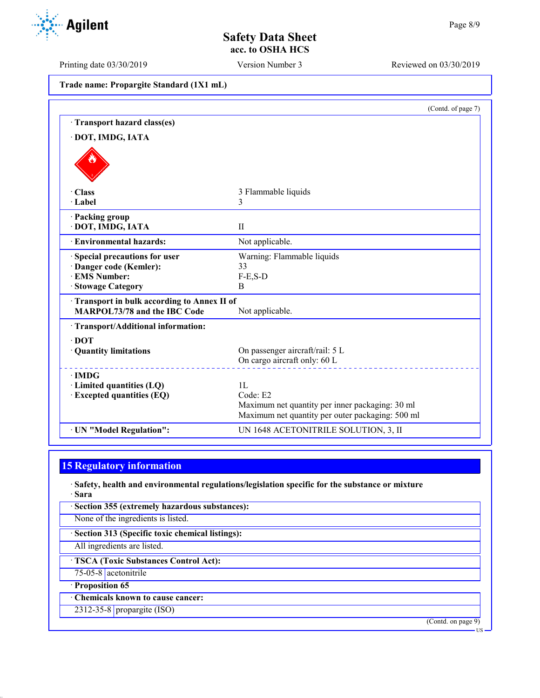Printing date 03/30/2019 Version Number 3 Reviewed on 03/30/2019

**Agilent** 

| Trade name: Propargite Standard (1X1 mL) |  |  |  |  |
|------------------------------------------|--|--|--|--|
|------------------------------------------|--|--|--|--|

|                                                                                   | (Contd. of page 7)                                                                                  |
|-----------------------------------------------------------------------------------|-----------------------------------------------------------------------------------------------------|
| · Transport hazard class(es)                                                      |                                                                                                     |
| · DOT, IMDG, IATA                                                                 |                                                                                                     |
|                                                                                   |                                                                                                     |
| · Class                                                                           | 3 Flammable liquids                                                                                 |
| $\cdot$ Label                                                                     | 3                                                                                                   |
| · Packing group<br>· DOT, IMDG, IATA                                              | $\mathbf{I}$                                                                                        |
| · Environmental hazards:                                                          | Not applicable.                                                                                     |
| Special precautions for user                                                      | Warning: Flammable liquids                                                                          |
| · Danger code (Kemler):<br>· EMS Number:                                          | 33<br>$F-E, S-D$                                                                                    |
| · Stowage Category                                                                | B                                                                                                   |
| Transport in bulk according to Annex II of<br><b>MARPOL73/78 and the IBC Code</b> | Not applicable.                                                                                     |
| · Transport/Additional information:                                               |                                                                                                     |
| $\cdot$ DOT                                                                       |                                                                                                     |
| · Quantity limitations                                                            | On passenger aircraft/rail: 5 L                                                                     |
|                                                                                   | On cargo aircraft only: 60 L                                                                        |
| $\cdot$ IMDG                                                                      |                                                                                                     |
| $\cdot$ Limited quantities (LQ)                                                   | 1 <sub>L</sub>                                                                                      |
| · Excepted quantities (EQ)                                                        | Code: E2                                                                                            |
|                                                                                   | Maximum net quantity per inner packaging: 30 ml<br>Maximum net quantity per outer packaging: 500 ml |
| · UN "Model Regulation":                                                          | UN 1648 ACETONITRILE SOLUTION, 3, II                                                                |

# **15 Regulatory information**

· **Safety, health and environmental regulations/legislation specific for the substance or mixture** · **Sara**

| · Section 355 (extremely hazardous substances):   |
|---------------------------------------------------|
| None of the ingredients is listed.                |
| · Section 313 (Specific toxic chemical listings): |
| All ingredients are listed.                       |
| <b>TSCA (Toxic Substances Control Act):</b>       |
| 75-05-8 acetonitrile                              |
| · Proposition 65                                  |
| Chemicals known to cause cancer:                  |
| 2312-35-8 propargite $(ISO)$                      |
| (Contd. on page 9)                                |

US